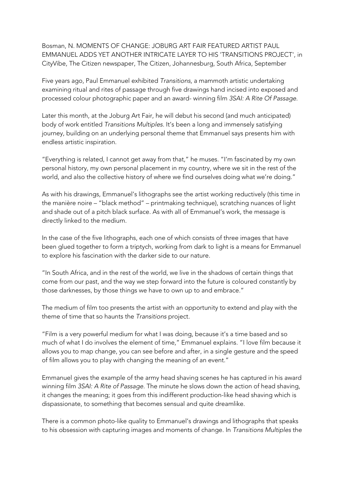Bosman, N. MOMENTS OF CHANGE: JOBURG ART FAIR FEATURED ARTIST PAUL EMMANUEL ADDS YET ANOTHER INTRICATE LAYER TO HIS 'TRANSITIONS PROJECT', in CityVibe, The Citizen newspaper, The Citizen, Johannesburg, South Africa, September

Five years ago, Paul Emmanuel exhibited *Transitions*, a mammoth artistic undertaking examining ritual and rites of passage through five drawings hand incised into exposed and processed colour photographic paper and an award- winning film *3SAI: A Rite Of Passage*.

Later this month, at the Joburg Art Fair, he will debut his second (and much anticipated) body of work entitled *Transitions Multiples*. It's been a long and immensely satisfying journey, building on an underlying personal theme that Emmanuel says presents him with endless artistic inspiration.

"Everything is related, I cannot get away from that," he muses. "I'm fascinated by my own personal history, my own personal placement in my country, where we sit in the rest of the world, and also the collective history of where we find ourselves doing what we're doing."

As with his drawings, Emmanuel's lithographs see the artist working reductively (this time in the manière noire – "black method" – printmaking technique), scratching nuances of light and shade out of a pitch black surface. As with all of Emmanuel's work, the message is directly linked to the medium.

In the case of the five lithographs, each one of which consists of three images that have been glued together to form a triptych, working from dark to light is a means for Emmanuel to explore his fascination with the darker side to our nature.

"In South Africa, and in the rest of the world, we live in the shadows of certain things that come from our past, and the way we step forward into the future is coloured constantly by those darknesses, by those things we have to own up to and embrace."

The medium of film too presents the artist with an opportunity to extend and play with the theme of time that so haunts the *Transitions* project.

"Film is a very powerful medium for what I was doing, because it's a time based and so much of what I do involves the element of time," Emmanuel explains. "I love film because it allows you to map change, you can see before and after, in a single gesture and the speed of film allows you to play with changing the meaning of an event."

Emmanuel gives the example of the army head shaving scenes he has captured in his award winning film *3SAI: A Rite of Passage*. The minute he slows down the action of head shaving, it changes the meaning; it goes from this indifferent production-like head shaving which is dispassionate, to something that becomes sensual and quite dreamlike.

There is a common photo-like quality to Emmanuel's drawings and lithographs that speaks to his obsession with capturing images and moments of change. In *Transitions Multiples* the